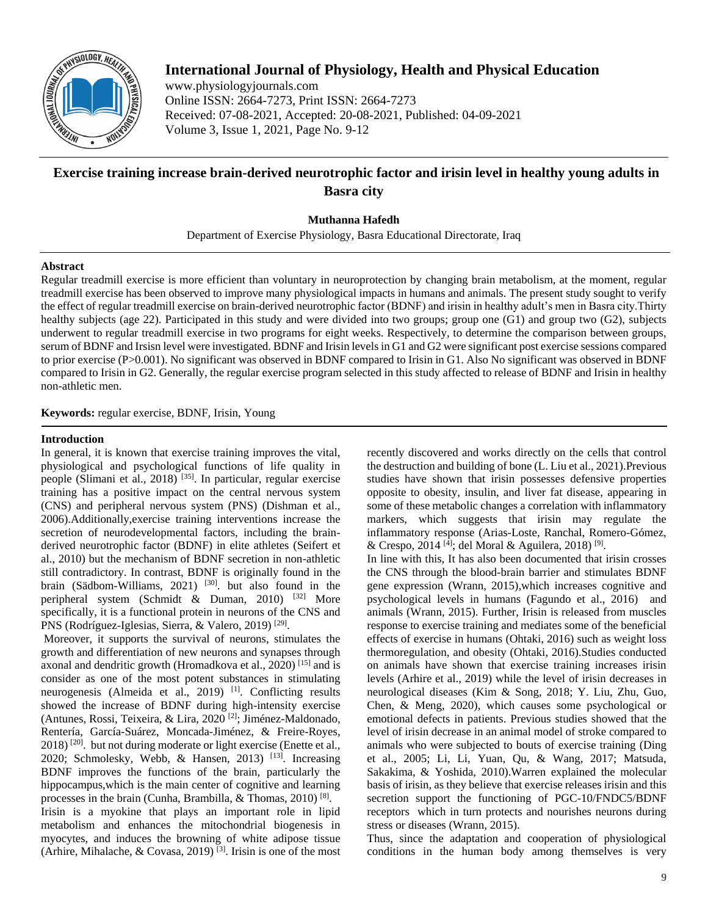

# **International Journal of Physiology, Health and Physical Education**

www.physiologyjournals.com Online ISSN: 2664-7273, Print ISSN: 2664-7273 Received: 07-08-2021, Accepted: 20-08-2021, Published: 04-09-2021 Volume 3, Issue 1, 2021, Page No. 9-12

# **Exercise training increase brain-derived neurotrophic factor and irisin level in healthy young adults in Basra city**

**Muthanna Hafedh**

Department of Exercise Physiology, Basra Educational Directorate, Iraq

# **Abstract**

Regular treadmill exercise is more efficient than voluntary in neuroprotection by changing brain metabolism, at the moment, regular treadmill exercise has been observed to improve many physiological impacts in humans and animals. The present study sought to verify the effect of regular treadmill exercise on brain-derived neurotrophic factor (BDNF) and irisin in healthy adult's men in Basra city.Thirty healthy subjects (age 22). Participated in this study and were divided into two groups; group one (G1) and group two (G2), subjects underwent to regular treadmill exercise in two programs for eight weeks. Respectively, to determine the comparison between groups, serum of BDNF and Irsisn level were investigated. BDNF and Irisin levels in G1 and G2 were significant post exercise sessions compared to prior exercise (P>0.001). No significant was observed in BDNF compared to Irisin in G1. Also No significant was observed in BDNF compared to Irisin in G2. Generally, the regular exercise program selected in this study affected to release of BDNF and Irisin in healthy non-athletic men.

**Keywords:** regular exercise, BDNF, Irisin, Young

# **Introduction**

In general, it is known that exercise training improves the vital, physiological and psychological functions of life quality in people (Slimani et al., 2018)<sup>[35]</sup>. In particular, regular exercise training has a positive impact on the central nervous system (CNS) and peripheral nervous system (PNS) (Dishman et al., 2006).Additionally,exercise training interventions increase the secretion of neurodevelopmental factors, including the brainderived neurotrophic factor (BDNF) in elite athletes (Seifert et al., 2010) but the mechanism of BDNF secretion in non-athletic still contradictory. In contrast, BDNF is originally found in the brain (Sädbom-Williams, 2021)<sup>[30]</sup>. but also found in the peripheral system (Schmidt  $\&$  Duman, 2010)  $^{[32]}$  More specifically, it is a functional protein in neurons of the CNS and PNS (Rodríguez-Iglesias, Sierra, & Valero, 2019)<sup>[29]</sup>.

Moreover, it supports the survival of neurons, stimulates the growth and differentiation of new neurons and synapses through axonal and dendritic growth (Hromadkova et al., 2020)<sup>[15]</sup> and is consider as one of the most potent substances in stimulating neurogenesis (Almeida et al., 2019)<sup>[1]</sup>. Conflicting results showed the increase of BDNF during high-intensity exercise (Antunes, Rossi, Teixeira, & Lira, 2020 [2] ; Jiménez-Maldonado, Rentería, García-Suárez, Moncada-Jiménez, & Freire-Royes, 2018)<sup>[20]</sup>. but not during moderate or light exercise (Enette et al., 2020; Schmolesky, Webb, & Hansen, 2013)<sup>[13]</sup>. Increasing BDNF improves the functions of the brain, particularly the hippocampus, which is the main center of cognitive and learning processes in the brain (Cunha, Brambilla, & Thomas, 2010)<sup>[8]</sup>. Irisin is a myokine that plays an important role in lipid metabolism and enhances the mitochondrial biogenesis in myocytes, and induces the browning of white adipose tissue (Arhire, Mihalache, & Covasa, 2019)<sup>[3]</sup>. Irisin is one of the most

recently discovered and works directly on the cells that control the destruction and building of bone (L. Liu et al., 2021).Previous studies have shown that irisin possesses defensive properties opposite to obesity, insulin, and liver fat disease, appearing in some of these metabolic changes a correlation with inflammatory markers, which suggests that irisin may regulate the inflammatory response (Arias-Loste, Ranchal, Romero-Gómez, & Crespo, 2014<sup>[4]</sup>; del Moral & Aguilera, 2018)<sup>[9]</sup>.

In line with this, It has also been documented that irisin crosses the CNS through the blood-brain barrier and stimulates BDNF gene expression (Wrann, 2015),which increases cognitive and psychological levels in humans (Fagundo et al., 2016) and animals (Wrann, 2015). Further, Irisin is released from muscles response to exercise training and mediates some of the beneficial effects of exercise in humans (Ohtaki, 2016) such as weight loss thermoregulation, and obesity (Ohtaki, 2016).Studies conducted on animals have shown that exercise training increases irisin levels (Arhire et al., 2019) while the level of irisin decreases in neurological diseases (Kim & Song, 2018; Y. Liu, Zhu, Guo, Chen, & Meng, 2020), which causes some psychological or emotional defects in patients. Previous studies showed that the level of irisin decrease in an animal model of stroke compared to animals who were subjected to bouts of exercise training (Ding et al., 2005; Li, Li, Yuan, Qu, & Wang, 2017; Matsuda, Sakakima, & Yoshida, 2010).Warren explained the molecular basis of irisin, as they believe that exercise releases irisin and this secretion support the functioning of PGC-10/FNDC5/BDNF receptors which in turn protects and nourishes neurons during stress or diseases (Wrann, 2015).

Thus, since the adaptation and cooperation of physiological conditions in the human body among themselves is very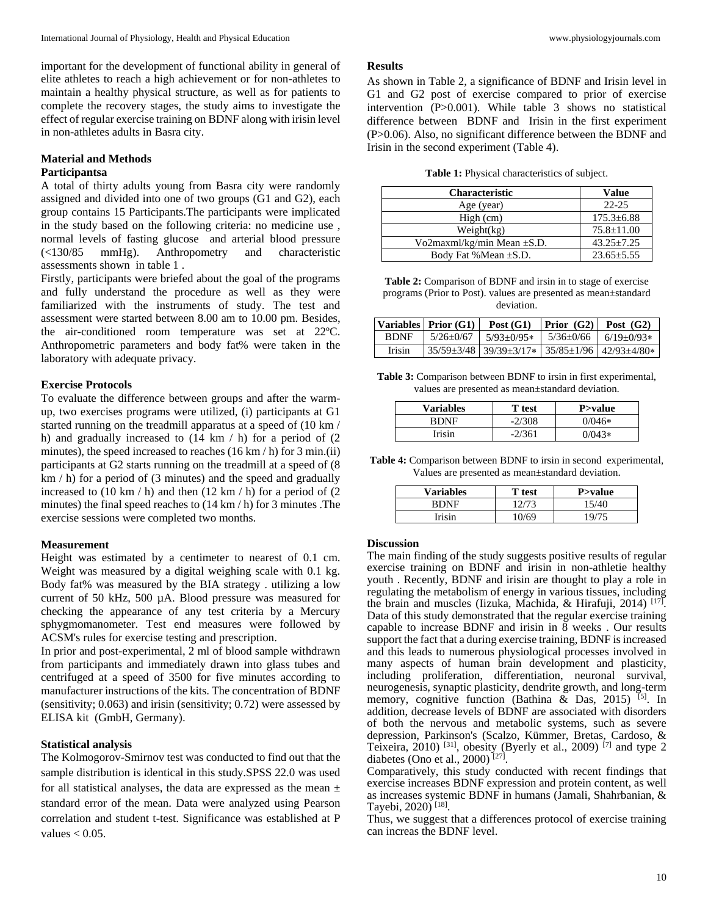important for the development of functional ability in general of elite athletes to reach a high achievement or for non-athletes to maintain a healthy physical structure, as well as for patients to complete the recovery stages, the study aims to investigate the effect of regular exercise training on BDNF along with irisin level in non-athletes adults in Basra city.

### **Material and Methods Participantsa**

A total of thirty adults young from Basra city were randomly assigned and divided into one of two groups (G1 and G2), each group contains 15 Participants.The participants were implicated in the study based on the following criteria: no medicine use , normal levels of fasting glucose and arterial blood pressure (<130/85 mmHg). Anthropometry and characteristic assessments shown in table 1 .

Firstly, participants were briefed about the goal of the programs and fully understand the procedure as well as they were familiarized with the instruments of study. The test and assessment were started between 8.00 am to 10.00 pm. Besides, the air-conditioned room temperature was set at 22ºC. Anthropometric parameters and body fat% were taken in the laboratory with adequate privacy.

# **Exercise Protocols**

To evaluate the difference between groups and after the warmup, two exercises programs were utilized, (i) participants at G1 started running on the treadmill apparatus at a speed of (10 km / h) and gradually increased to (14 km / h) for a period of (2 minutes), the speed increased to reaches  $(16 \text{ km/h})$  for 3 min.(ii) participants at G2 starts running on the treadmill at a speed of (8 km / h) for a period of (3 minutes) and the speed and gradually increased to  $(10 \text{ km } / \text{ h})$  and then  $(12 \text{ km } / \text{ h})$  for a period of  $(2 \text{ km } / \text{ h})$ minutes) the final speed reaches to (14 km / h) for 3 minutes .The exercise sessions were completed two months.

### **Measurement**

Height was estimated by a centimeter to nearest of 0.1 cm. Weight was measured by a digital weighing scale with 0.1 kg. Body fat% was measured by the BIA strategy . utilizing a low current of 50 kHz, 500 µA. Blood pressure was measured for checking the appearance of any test criteria by a Mercury sphygmomanometer. Test end measures were followed by ACSM's rules for exercise testing and prescription.

In prior and post-experimental, 2 ml of blood sample withdrawn from participants and immediately drawn into glass tubes and centrifuged at a speed of 3500 for five minutes according to manufacturer instructions of the kits. The concentration of BDNF (sensitivity; 0.063) and irisin (sensitivity; 0.72) were assessed by ELISA kit (GmbH, Germany).

### **Statistical analysis**

The Kolmogorov-Smirnov test was conducted to find out that the sample distribution is identical in this study.SPSS 22.0 was used for all statistical analyses, the data are expressed as the mean  $\pm$ standard error of the mean. Data were analyzed using Pearson correlation and student t-test. Significance was established at P values  $< 0.05$ .

#### **Results**

As shown in Table 2, a significance of BDNF and Irisin level in G1 and G2 post of exercise compared to prior of exercise intervention (P>0.001). While table 3 shows no statistical difference between BDNF and Irisin in the first experiment (P>0.06). Also, no significant difference between the BDNF and Irisin in the second experiment (Table 4).

| Table 1: Physical characteristics of subject. |  |  |  |  |
|-----------------------------------------------|--|--|--|--|
|-----------------------------------------------|--|--|--|--|

| <b>Characteristic</b>      | Value            |
|----------------------------|------------------|
| Age (year)                 | $22 - 25$        |
| High (cm)                  | $175.3 \pm 6.88$ |
| Weight(kg)                 | $75.8 \pm 11.00$ |
| Vo2maxml/kg/min Mean ±S.D. | $43.25 \pm 7.25$ |
| Body Fat % Mean $\pm$ S.D. | $23.65 \pm 5.55$ |

**Table 2:** Comparison of BDNF and irsin in to stage of exercise programs (Prior to Post). values are presented as mean±standard deviation.

|               | Variables   Prior (G1) | Post $(G1)$                                                                       | $\text{Prior}(\text{G2})$ Post $\text{(G2)}$ |                   |
|---------------|------------------------|-----------------------------------------------------------------------------------|----------------------------------------------|-------------------|
| <b>BDNF</b>   | $5/26+0/67$            | $5/93+0/95*$                                                                      | 5/36+0/66                                    | $6/19 \pm 0.093*$ |
| <b>Irisin</b> |                        | $35/59 \pm 3/48$ 39/39 $\pm 3/17 \times$ 35/85 $\pm 1/96$ 42/93 $\pm 4/80 \times$ |                                              |                   |

**Table 3:** Comparison between BDNF to irsin in first experimental, values are presented as mean±standard deviation.

| Variables   | T test   | P>value  |
|-------------|----------|----------|
| <b>RDNF</b> | $-2/308$ | $0/046*$ |
| Irisin      | $-2/361$ | $0/043*$ |

**Table 4:** Comparison between BDNF to irsin in second experimental, Values are presented as mean±standard deviation.

| <b>Variables</b> | T test | P>value |
|------------------|--------|---------|
| <b>RDNF</b>      | 12/73  | 15/40   |
| Irisin           | 10/69  | 19/75   |

#### **Discussion**

The main finding of the study suggests positive results of regular exercise training on BDNF and irisin in non-athletie healthy youth . Recently, BDNF and irisin are thought to play a role in regulating the metabolism of energy in various tissues, including the brain and muscles (Iizuka, Machida, & Hirafuji, 2014)<sup>[17]</sup>. Data of this study demonstrated that the regular exercise training capable to increase BDNF and irisin in 8 weeks . Our results support the fact that a during exercise training, BDNF is increased and this leads to numerous physiological processes involved in many aspects of human brain development and plasticity, including proliferation, differentiation, neuronal survival, neurogenesis, synaptic plasticity, dendrite growth, and long-term memory, cognitive function (Bathina & Das, 2015)<sup>[5]</sup>. In addition, decrease levels of BDNF are associated with disorders of both the nervous and metabolic systems, such as severe depression, Parkinson's (Scalzo, Kümmer, Bretas, Cardoso, & Teixeira, 2010)<sup>[31]</sup>, obesity (Byerly et al., 2009)<sup>[7]</sup> and type 2 diabetes (Ono et al., 2000) [27] .

Comparatively, this study conducted with recent findings that exercise increases BDNF expression and protein content, as well as increases systemic BDNF in humans (Jamali, Shahrbanian, & Tayebi, 2020)<sup>[18]</sup>.

Thus, we suggest that a differences protocol of exercise training can increas the BDNF level.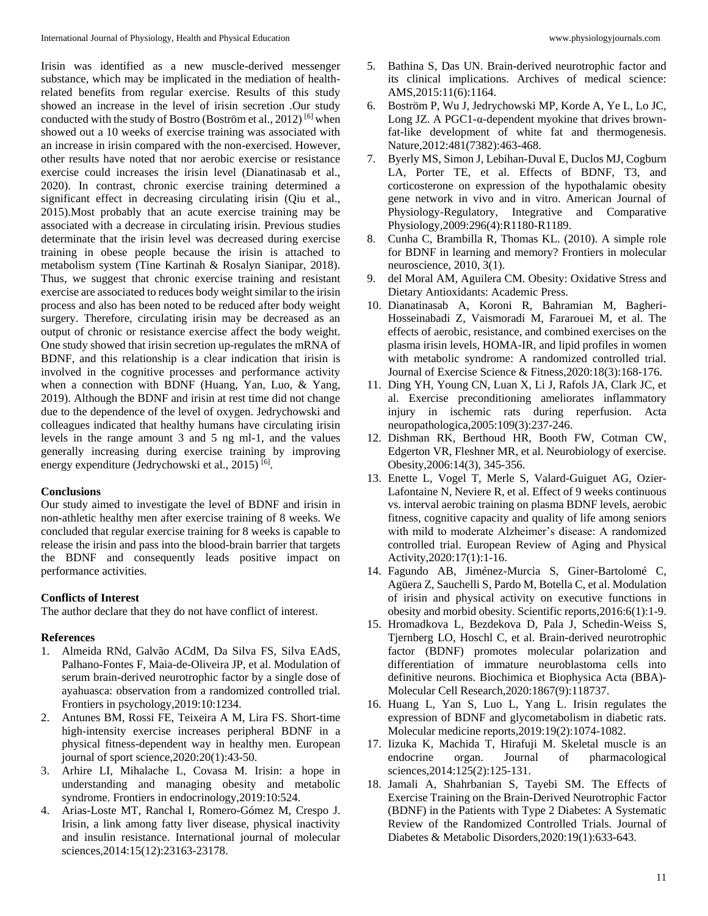Irisin was identified as a new muscle-derived messenger substance, which may be implicated in the mediation of healthrelated benefits from regular exercise. Results of this study showed an increase in the level of irisin secretion .Our study conducted with the study of Bostro (Boström et al., 2012) [6] when showed out a 10 weeks of exercise training was associated with an increase in irisin compared with the non-exercised. However, other results have noted that nor aerobic exercise or resistance exercise could increases the irisin level (Dianatinasab et al., 2020). In contrast, chronic exercise training determined a significant effect in decreasing circulating irisin (Qiu et al., 2015).Most probably that an acute exercise training may be associated with a decrease in circulating irisin. Previous studies determinate that the irisin level was decreased during exercise training in obese people because the irisin is attached to metabolism system (Tine Kartinah & Rosalyn Sianipar, 2018). Thus, we suggest that chronic exercise training and resistant exercise are associated to reduces body weight similar to the irisin process and also has been noted to be reduced after body weight surgery. Therefore, circulating irisin may be decreased as an output of chronic or resistance exercise affect the body weight. One study showed that irisin secretion up-regulates the mRNA of BDNF, and this relationship is a clear indication that irisin is involved in the cognitive processes and performance activity when a connection with BDNF (Huang, Yan, Luo, & Yang, 2019). Although the BDNF and irisin at rest time did not change due to the dependence of the level of oxygen. Jedrychowski and colleagues indicated that healthy humans have circulating irisin levels in the range amount 3 and 5 ng ml-1, and the values generally increasing during exercise training by improving energy expenditure (Jedrychowski et al., 2015)<sup>[6]</sup>.

### **Conclusions**

Our study aimed to investigate the level of BDNF and irisin in non-athletic healthy men after exercise training of 8 weeks. We concluded that regular exercise training for 8 weeks is capable to release the irisin and pass into the blood-brain barrier that targets the BDNF and consequently leads positive impact on performance activities.

### **Conflicts of Interest**

The author declare that they do not have conflict of interest.

### **References**

- 1. Almeida RNd, Galvão ACdM, Da Silva FS, Silva EAdS, Palhano-Fontes F, Maia-de-Oliveira JP, et al. Modulation of serum brain-derived neurotrophic factor by a single dose of ayahuasca: observation from a randomized controlled trial. Frontiers in psychology,2019:10:1234.
- 2. Antunes BM, Rossi FE, Teixeira A M, Lira FS. Short-time high-intensity exercise increases peripheral BDNF in a physical fitness-dependent way in healthy men. European journal of sport science,2020:20(1):43-50.
- 3. Arhire LI, Mihalache L, Covasa M. Irisin: a hope in understanding and managing obesity and metabolic syndrome. Frontiers in endocrinology,2019:10:524.
- 4. Arias-Loste MT, Ranchal I, Romero-Gómez M, Crespo J. Irisin, a link among fatty liver disease, physical inactivity and insulin resistance. International journal of molecular sciences,2014:15(12):23163-23178.
- 5. Bathina S, Das UN. Brain-derived neurotrophic factor and its clinical implications. Archives of medical science: AMS,2015:11(6):1164.
- 6. Boström P, Wu J, Jedrychowski MP, Korde A, Ye L, Lo JC, Long JZ. A PGC1- $α$ -dependent myokine that drives brownfat-like development of white fat and thermogenesis. Nature,2012:481(7382):463-468.
- 7. Byerly MS, Simon J, Lebihan-Duval E, Duclos MJ, Cogburn LA, Porter TE, et al. Effects of BDNF, T3, and corticosterone on expression of the hypothalamic obesity gene network in vivo and in vitro. American Journal of Physiology-Regulatory, Integrative and Comparative Physiology,2009:296(4):R1180-R1189.
- 8. Cunha C, Brambilla R, Thomas KL. (2010). A simple role for BDNF in learning and memory? Frontiers in molecular neuroscience, 2010, 3(1).
- 9. del Moral AM, Aguilera CM. Obesity: Oxidative Stress and Dietary Antioxidants: Academic Press.
- 10. Dianatinasab A, Koroni R, Bahramian M, Bagheri-Hosseinabadi Z, Vaismoradi M, Fararouei M, et al. The effects of aerobic, resistance, and combined exercises on the plasma irisin levels, HOMA-IR, and lipid profiles in women with metabolic syndrome: A randomized controlled trial. Journal of Exercise Science & Fitness,2020:18(3):168-176.
- 11. Ding YH, Young CN, Luan X, Li J, Rafols JA, Clark JC, et al. Exercise preconditioning ameliorates inflammatory injury in ischemic rats during reperfusion. Acta neuropathologica,2005:109(3):237-246.
- 12. Dishman RK, Berthoud HR, Booth FW, Cotman CW, Edgerton VR, Fleshner MR, et al. Neurobiology of exercise. Obesity,2006:14(3), 345-356.
- 13. Enette L, Vogel T, Merle S, Valard-Guiguet AG, Ozier-Lafontaine N, Neviere R, et al. Effect of 9 weeks continuous vs. interval aerobic training on plasma BDNF levels, aerobic fitness, cognitive capacity and quality of life among seniors with mild to moderate Alzheimer's disease: A randomized controlled trial. European Review of Aging and Physical Activity,2020:17(1):1-16.
- 14. Fagundo AB, Jiménez-Murcia S, Giner-Bartolomé C, Agüera Z, Sauchelli S, Pardo M, Botella C, et al. Modulation of irisin and physical activity on executive functions in obesity and morbid obesity. Scientific reports,2016:6(1):1-9.
- 15. Hromadkova L, Bezdekova D, Pala J, Schedin-Weiss S, Tjernberg LO, Hoschl C, et al. Brain-derived neurotrophic factor (BDNF) promotes molecular polarization and differentiation of immature neuroblastoma cells into definitive neurons. Biochimica et Biophysica Acta (BBA)- Molecular Cell Research,2020:1867(9):118737.
- 16. Huang L, Yan S, Luo L, Yang L. Irisin regulates the expression of BDNF and glycometabolism in diabetic rats. Molecular medicine reports,2019:19(2):1074-1082.
- 17. Iizuka K, Machida T, Hirafuji M. Skeletal muscle is an endocrine organ. Journal of pharmacological sciences,2014:125(2):125-131.
- 18. Jamali A, Shahrbanian S, Tayebi SM. The Effects of Exercise Training on the Brain-Derived Neurotrophic Factor (BDNF) in the Patients with Type 2 Diabetes: A Systematic Review of the Randomized Controlled Trials. Journal of Diabetes & Metabolic Disorders,2020:19(1):633-643.